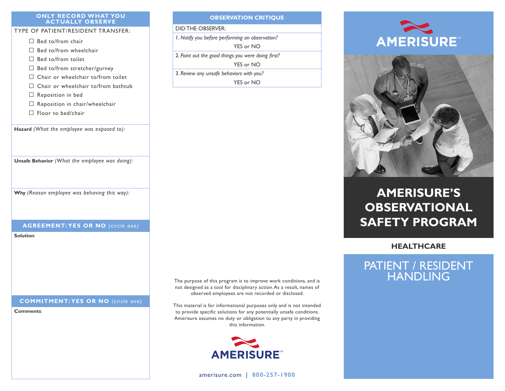#### **ONLY RECORD WHAT YOU ACTUALLY OBSERVE**

### TYPE OF PATIENT/RESIDENT TRANSFER:

- □ Bed to/from chair
- $\Box$  Bed to/from wheelchair
- □ Bed to/from toilet
- $\Box$  Bed to/from stretcher/gurney
- $\Box$  Chair or wheelchair to/from toilet
- $\Box$  Chair or wheelchair to/from bathtub
- $\Box$  Reposition in bed
- $\square$  Reposition in chair/wheelchair
- □ Floor to bed/chair

**Hazard** *(What the employee was exposed to):*

**Unsafe Behavior** *(What the employee was doing):*

**Why** *(Reason employee was behaving this way):*

### **AGREEMENT: YES OR NO** *(circle one)*

**Solution**:

### **COMMITMENT: YES OR NO** *(circle one)*

**Comments**:

### **OBSERVATION CRITIQUE** DID THE OBSERVER:

1. *Notify you before performing an observation?*

YES or NO

2. *Point out the good things you were doing first?*

YES or NO

3. *Review any unsafe behaviors with you?* YES or NO





# **AMERISURE'S OBSERVATIONAL SAFETY PROGRAM**

**HEALTHCARE**

## PATIENT / RESIDENT HANDLING

The purpose of this program is to improve work conditions, and is not designed as a tool for disciplinary action. As a result, names of observed employees are not recorded or disclosed.

This material is for informational purposes only and is not intended to provide specific solutions for any potentially unsafe conditions. Amerisure assumes no duty or obligation to any party in providing this information.



[amerisure.com](http://www.amerisure.com) | **800-257-1900**